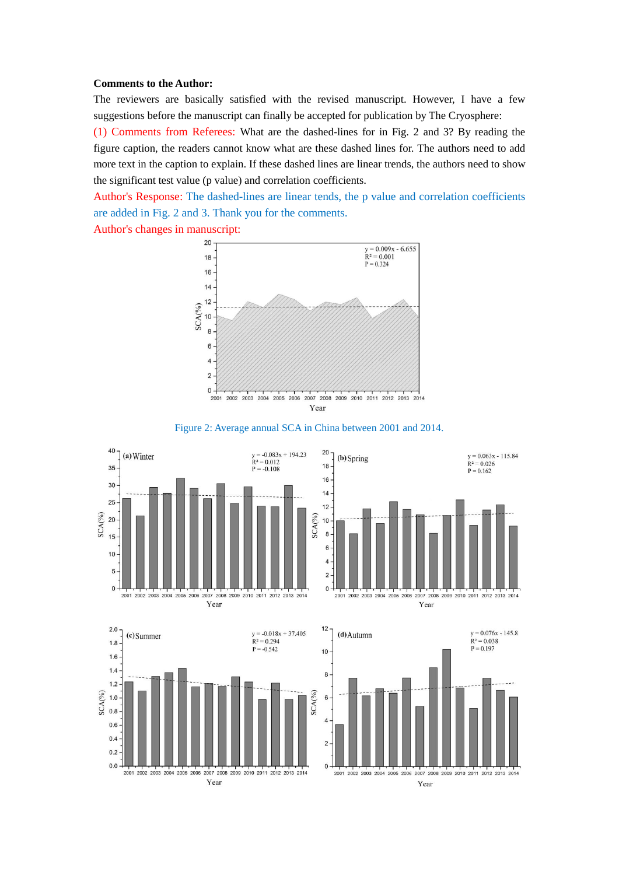## **Comments to the Author:**

The reviewers are basically satisfied with the revised manuscript. However, I have a few suggestions before the manuscript can finally be accepted for publication by The Cryosphere:

(1) Comments from Referees: What are the dashed-lines for in Fig. 2 and 3? By reading the figure caption, the readers cannot know what are these dashed lines for. The authors need to add more text in the caption to explain. If these dashed lines are linear trends, the authors need to show the significant test value (p value) and correlation coefficients.

Author's Response: The dashed-lines are linear tends, the p value and correlation coefficients are added in Fig. 2 and 3. Thank you for the comments.

Author's changes in manuscript:









 $y = 0.063x - 115.84$ 

 $R^2 = 0.026$ 

 $P = 0.162$